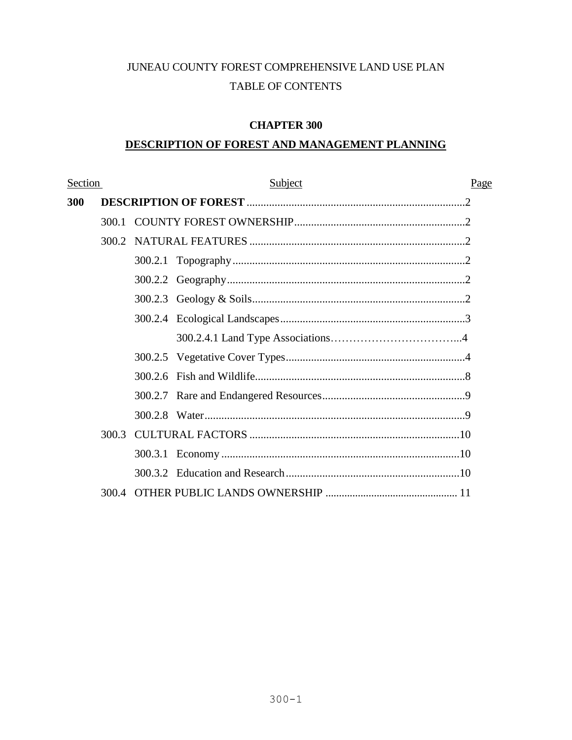# JUNEAU COUNTY FOREST COMPREHENSIVE LAND USE PLAN TABLE OF CONTENTS

# **CHAPTER 300**

# **DESCRIPTION OF FOREST AND MANAGEMENT PLANNING**

| Section |       | Subject |  |  |  |
|---------|-------|---------|--|--|--|
| 300     |       |         |  |  |  |
|         | 300.1 |         |  |  |  |
|         | 300.2 |         |  |  |  |
|         |       |         |  |  |  |
|         |       |         |  |  |  |
|         |       |         |  |  |  |
|         |       |         |  |  |  |
|         |       |         |  |  |  |
|         |       |         |  |  |  |
|         |       |         |  |  |  |
|         |       |         |  |  |  |
|         |       |         |  |  |  |
|         | 300.3 |         |  |  |  |
|         |       |         |  |  |  |
|         |       |         |  |  |  |
|         |       |         |  |  |  |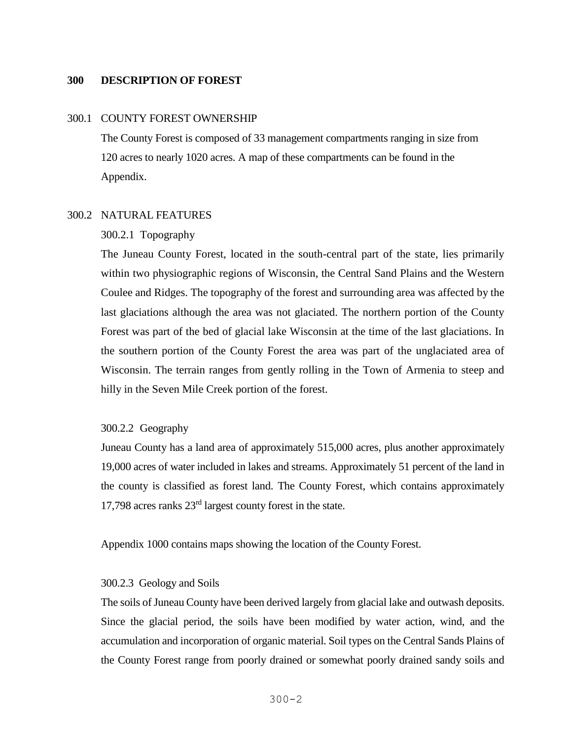### **300 DESCRIPTION OF FOREST**

#### 300.1 COUNTY FOREST OWNERSHIP

The County Forest is composed of 33 management compartments ranging in size from 120 acres to nearly 1020 acres. A map of these compartments can be found in the Appendix.

### 300.2 NATURAL FEATURES

#### 300.2.1 Topography

The Juneau County Forest, located in the south-central part of the state, lies primarily within two physiographic regions of Wisconsin, the Central Sand Plains and the Western Coulee and Ridges. The topography of the forest and surrounding area was affected by the last glaciations although the area was not glaciated. The northern portion of the County Forest was part of the bed of glacial lake Wisconsin at the time of the last glaciations. In the southern portion of the County Forest the area was part of the unglaciated area of Wisconsin. The terrain ranges from gently rolling in the Town of Armenia to steep and hilly in the Seven Mile Creek portion of the forest.

#### 300.2.2Geography

Juneau County has a land area of approximately 515,000 acres, plus another approximately 19,000 acres of water included in lakes and streams. Approximately 51 percent of the land in the county is classified as forest land. The County Forest, which contains approximately 17,798 acres ranks 23rd largest county forest in the state.

Appendix 1000 contains maps showing the location of the County Forest.

#### 300.2.3Geology and Soils

The soils of Juneau County have been derived largely from glacial lake and outwash deposits. Since the glacial period, the soils have been modified by water action, wind, and the accumulation and incorporation of organic material. Soil types on the Central Sands Plains of the County Forest range from poorly drained or somewhat poorly drained sandy soils and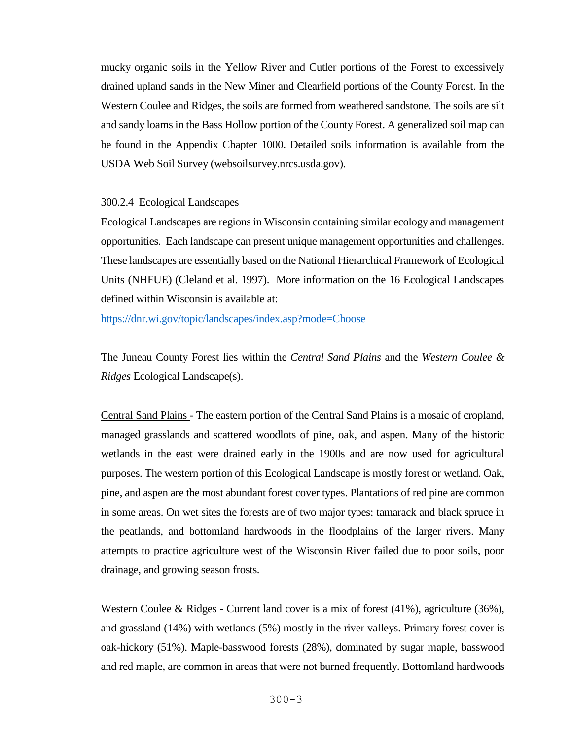mucky organic soils in the Yellow River and Cutler portions of the Forest to excessively drained upland sands in the New Miner and Clearfield portions of the County Forest. In the Western Coulee and Ridges, the soils are formed from weathered sandstone. The soils are silt and sandy loams in the Bass Hollow portion of the County Forest. A generalized soil map can be found in the Appendix Chapter 1000. Detailed soils information is available from the USDA Web Soil Survey (websoilsurvey.nrcs.usda.gov).

### 300.2.4 Ecological Landscapes

Ecological Landscapes are regions in Wisconsin containing similar ecology and management opportunities. Each landscape can present unique management opportunities and challenges. These landscapes are essentially based on the National Hierarchical Framework of Ecological Units (NHFUE) (Cleland et al. 1997). More information on the 16 Ecological Landscapes defined within Wisconsin is available at:

<https://dnr.wi.gov/topic/landscapes/index.asp?mode=Choose>

The Juneau County Forest lies within the *Central Sand Plains* and the *Western Coulee & Ridges* Ecological Landscape(s).

Central Sand Plains - The eastern portion of the Central Sand Plains is a mosaic of cropland, managed grasslands and scattered woodlots of pine, oak, and aspen. Many of the historic wetlands in the east were drained early in the 1900s and are now used for agricultural purposes. The western portion of this Ecological Landscape is mostly forest or wetland. Oak, pine, and aspen are the most abundant forest cover types. Plantations of red pine are common in some areas. On wet sites the forests are of two major types: tamarack and black spruce in the peatlands, and bottomland hardwoods in the floodplains of the larger rivers. Many attempts to practice agriculture west of the Wisconsin River failed due to poor soils, poor drainage, and growing season frosts.

Western Coulee & Ridges - Current land cover is a mix of forest (41%), agriculture (36%), and grassland (14%) with wetlands (5%) mostly in the river valleys. Primary forest cover is oak-hickory (51%). Maple-basswood forests (28%), dominated by sugar maple, basswood and red maple, are common in areas that were not burned frequently. Bottomland hardwoods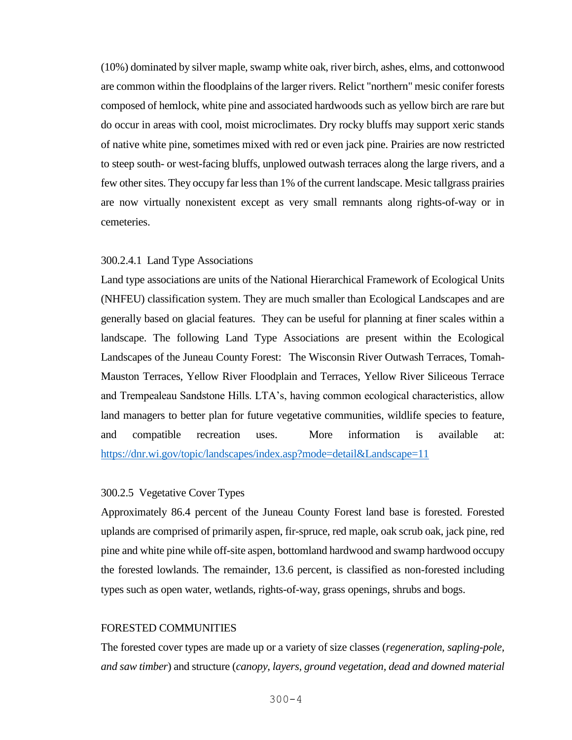(10%) dominated by silver maple, swamp white oak, river birch, ashes, elms, and cottonwood are common within the floodplains of the larger rivers. Relict "northern" mesic conifer forests composed of hemlock, white pine and associated hardwoods such as yellow birch are rare but do occur in areas with cool, moist microclimates. Dry rocky bluffs may support xeric stands of native white pine, sometimes mixed with red or even jack pine. Prairies are now restricted to steep south- or west-facing bluffs, unplowed outwash terraces along the large rivers, and a few other sites. They occupy far less than 1% of the current landscape. Mesic tallgrass prairies are now virtually nonexistent except as very small remnants along rights-of-way or in cemeteries.

### 300.2.4.1 Land Type Associations

Land type associations are units of the National Hierarchical Framework of Ecological Units (NHFEU) classification system. They are much smaller than Ecological Landscapes and are generally based on glacial features. They can be useful for planning at finer scales within a landscape. The following Land Type Associations are present within the Ecological Landscapes of the Juneau County Forest: The Wisconsin River Outwash Terraces, Tomah-Mauston Terraces, Yellow River Floodplain and Terraces, Yellow River Siliceous Terrace and Trempealeau Sandstone Hills. LTA's, having common ecological characteristics, allow land managers to better plan for future vegetative communities, wildlife species to feature, and compatible recreation uses. More information is available at: <https://dnr.wi.gov/topic/landscapes/index.asp?mode=detail&Landscape=11>

# 300.2.5 Vegetative Cover Types

Approximately 86.4 percent of the Juneau County Forest land base is forested. Forested uplands are comprised of primarily aspen, fir-spruce, red maple, oak scrub oak, jack pine, red pine and white pine while off-site aspen, bottomland hardwood and swamp hardwood occupy the forested lowlands. The remainder, 13.6 percent, is classified as non-forested including types such as open water, wetlands, rights-of-way, grass openings, shrubs and bogs.

#### FORESTED COMMUNITIES

The forested cover types are made up or a variety of size classes (*regeneration, sapling-pole, and saw timber*) and structure (*canopy, layers, ground vegetation, dead and downed material*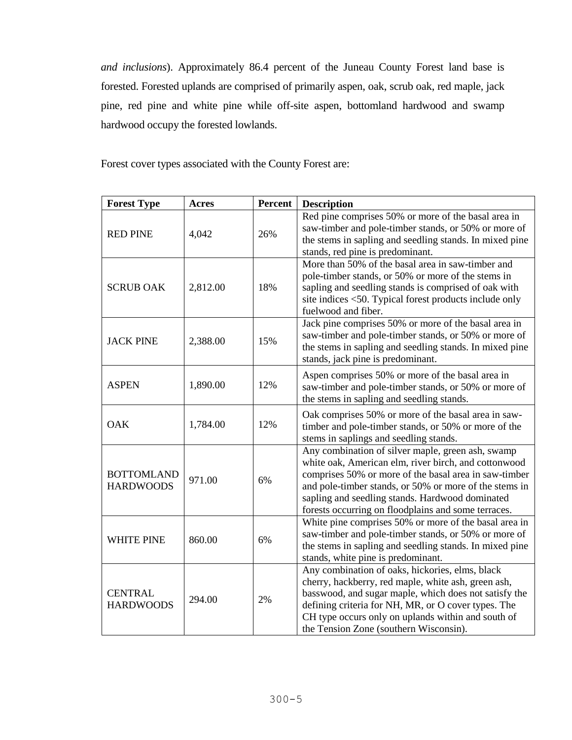*and inclusions*). Approximately 86.4 percent of the Juneau County Forest land base is forested. Forested uplands are comprised of primarily aspen, oak, scrub oak, red maple, jack pine, red pine and white pine while off-site aspen, bottomland hardwood and swamp hardwood occupy the forested lowlands.

Forest cover types associated with the County Forest are:

| <b>Forest Type</b>                    | <b>Acres</b> | <b>Percent</b> | <b>Description</b>                                                                                                                                                                                                                                                                                                                     |
|---------------------------------------|--------------|----------------|----------------------------------------------------------------------------------------------------------------------------------------------------------------------------------------------------------------------------------------------------------------------------------------------------------------------------------------|
| <b>RED PINE</b>                       | 4,042        | 26%            | Red pine comprises 50% or more of the basal area in<br>saw-timber and pole-timber stands, or 50% or more of<br>the stems in sapling and seedling stands. In mixed pine<br>stands, red pine is predominant.                                                                                                                             |
| <b>SCRUB OAK</b>                      | 2,812.00     | 18%            | More than 50% of the basal area in saw-timber and<br>pole-timber stands, or 50% or more of the stems in<br>sapling and seedling stands is comprised of oak with<br>site indices <50. Typical forest products include only<br>fuelwood and fiber.                                                                                       |
| <b>JACK PINE</b>                      | 2,388.00     | 15%            | Jack pine comprises 50% or more of the basal area in<br>saw-timber and pole-timber stands, or 50% or more of<br>the stems in sapling and seedling stands. In mixed pine<br>stands, jack pine is predominant.                                                                                                                           |
| <b>ASPEN</b>                          | 1,890.00     | 12%            | Aspen comprises 50% or more of the basal area in<br>saw-timber and pole-timber stands, or 50% or more of<br>the stems in sapling and seedling stands.                                                                                                                                                                                  |
| <b>OAK</b>                            | 1,784.00     | 12%            | Oak comprises 50% or more of the basal area in saw-<br>timber and pole-timber stands, or 50% or more of the<br>stems in saplings and seedling stands.                                                                                                                                                                                  |
| <b>BOTTOMLAND</b><br><b>HARDWOODS</b> | 971.00       | 6%             | Any combination of silver maple, green ash, swamp<br>white oak, American elm, river birch, and cottonwood<br>comprises 50% or more of the basal area in saw-timber<br>and pole-timber stands, or 50% or more of the stems in<br>sapling and seedling stands. Hardwood dominated<br>forests occurring on floodplains and some terraces. |
| <b>WHITE PINE</b>                     | 860.00       | 6%             | White pine comprises 50% or more of the basal area in<br>saw-timber and pole-timber stands, or 50% or more of<br>the stems in sapling and seedling stands. In mixed pine<br>stands, white pine is predominant.                                                                                                                         |
| <b>CENTRAL</b><br><b>HARDWOODS</b>    | 294.00       | 2%             | Any combination of oaks, hickories, elms, black<br>cherry, hackberry, red maple, white ash, green ash,<br>basswood, and sugar maple, which does not satisfy the<br>defining criteria for NH, MR, or O cover types. The<br>CH type occurs only on uplands within and south of<br>the Tension Zone (southern Wisconsin).                 |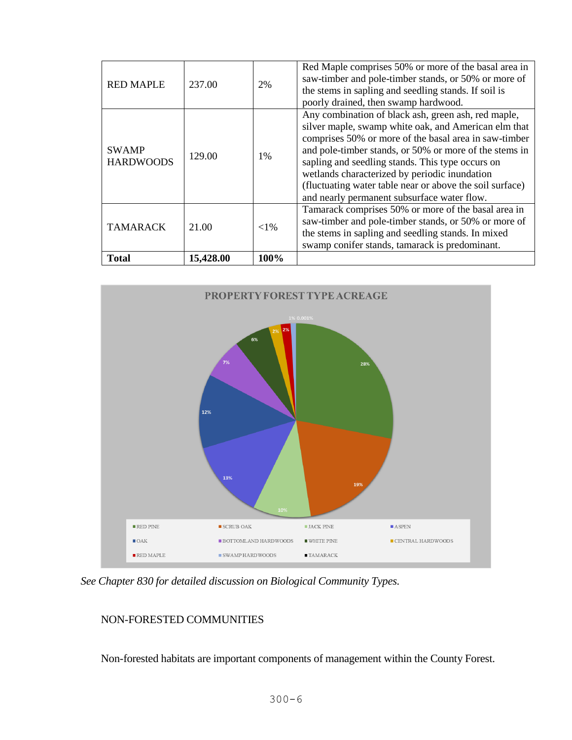| <b>Total</b>                     | 15,428.00 | 100%     |                                                                                                                                                                                                                                                                                                                                                                                                                                                |
|----------------------------------|-----------|----------|------------------------------------------------------------------------------------------------------------------------------------------------------------------------------------------------------------------------------------------------------------------------------------------------------------------------------------------------------------------------------------------------------------------------------------------------|
| <b>TAMARACK</b>                  | 21.00     | ${<}1\%$ | Tamarack comprises 50% or more of the basal area in<br>saw-timber and pole-timber stands, or 50% or more of<br>the stems in sapling and seedling stands. In mixed<br>swamp conifer stands, tamarack is predominant.                                                                                                                                                                                                                            |
| <b>SWAMP</b><br><b>HARDWOODS</b> | 129.00    | 1%       | Any combination of black ash, green ash, red maple,<br>silver maple, swamp white oak, and American elm that<br>comprises 50% or more of the basal area in saw-timber<br>and pole-timber stands, or 50% or more of the stems in<br>sapling and seedling stands. This type occurs on<br>wetlands characterized by periodic inundation<br>(fluctuating water table near or above the soil surface)<br>and nearly permanent subsurface water flow. |
| <b>RED MAPLE</b>                 | 237.00    | 2%       | Red Maple comprises 50% or more of the basal area in<br>saw-timber and pole-timber stands, or 50% or more of<br>the stems in sapling and seedling stands. If soil is<br>poorly drained, then swamp hardwood.                                                                                                                                                                                                                                   |



 *See Chapter 830 for detailed discussion on Biological Community Types.* 

# NON-FORESTED COMMUNITIES

Non-forested habitats are important components of management within the County Forest.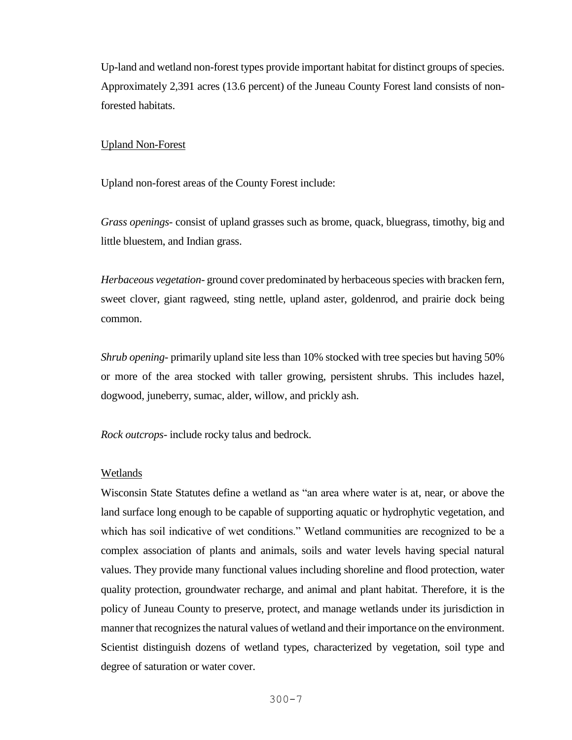Up-land and wetland non-forest types provide important habitat for distinct groups of species. Approximately 2,391 acres (13.6 percent) of the Juneau County Forest land consists of nonforested habitats.

### Upland Non-Forest

Upland non-forest areas of the County Forest include:

*Grass openings-* consist of upland grasses such as brome, quack, bluegrass, timothy, big and little bluestem, and Indian grass.

*Herbaceous vegetation*- ground cover predominated by herbaceous species with bracken fern, sweet clover, giant ragweed, sting nettle, upland aster, goldenrod, and prairie dock being common.

*Shrub opening-* primarily upland site less than 10% stocked with tree species but having 50% or more of the area stocked with taller growing, persistent shrubs. This includes hazel, dogwood, juneberry, sumac, alder, willow, and prickly ash.

*Rock outcrops*- include rocky talus and bedrock.

### Wetlands

Wisconsin State Statutes define a wetland as "an area where water is at, near, or above the land surface long enough to be capable of supporting aquatic or hydrophytic vegetation, and which has soil indicative of wet conditions." Wetland communities are recognized to be a complex association of plants and animals, soils and water levels having special natural values. They provide many functional values including shoreline and flood protection, water quality protection, groundwater recharge, and animal and plant habitat. Therefore, it is the policy of Juneau County to preserve, protect, and manage wetlands under its jurisdiction in manner that recognizes the natural values of wetland and their importance on the environment. Scientist distinguish dozens of wetland types, characterized by vegetation, soil type and degree of saturation or water cover.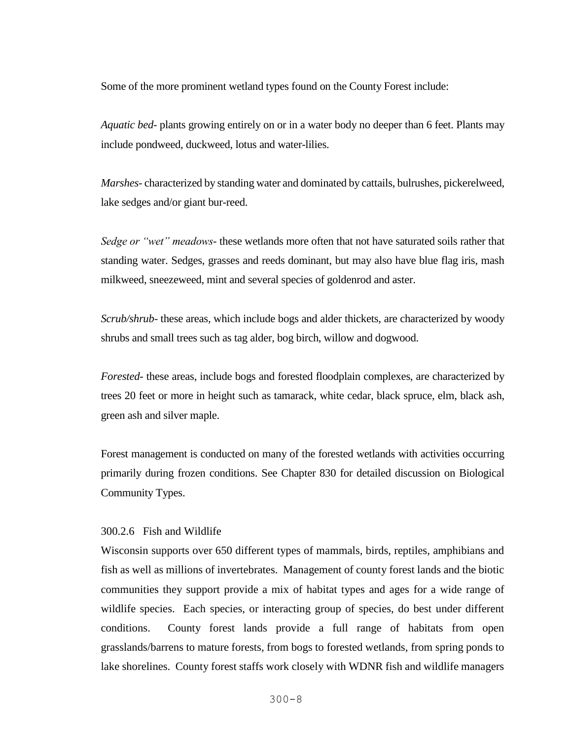Some of the more prominent wetland types found on the County Forest include:

*Aquatic bed*- plants growing entirely on or in a water body no deeper than 6 feet. Plants may include pondweed, duckweed, lotus and water-lilies.

*Marshes*- characterized by standing water and dominated by cattails, bulrushes, pickerelweed, lake sedges and/or giant bur-reed.

*Sedge or "wet" meadows*- these wetlands more often that not have saturated soils rather that standing water. Sedges, grasses and reeds dominant, but may also have blue flag iris, mash milkweed, sneezeweed, mint and several species of goldenrod and aster.

*Scrub/shrub*- these areas, which include bogs and alder thickets, are characterized by woody shrubs and small trees such as tag alder, bog birch, willow and dogwood.

*Forested*- these areas, include bogs and forested floodplain complexes, are characterized by trees 20 feet or more in height such as tamarack, white cedar, black spruce, elm, black ash, green ash and silver maple.

Forest management is conducted on many of the forested wetlands with activities occurring primarily during frozen conditions. See Chapter 830 for detailed discussion on Biological Community Types.

### 300.2.6 Fish and Wildlife

Wisconsin supports over 650 different types of mammals, birds, reptiles, amphibians and fish as well as millions of invertebrates. Management of county forest lands and the biotic communities they support provide a mix of habitat types and ages for a wide range of wildlife species. Each species, or interacting group of species, do best under different conditions. County forest lands provide a full range of habitats from open grasslands/barrens to mature forests, from bogs to forested wetlands, from spring ponds to lake shorelines. County forest staffs work closely with WDNR fish and wildlife managers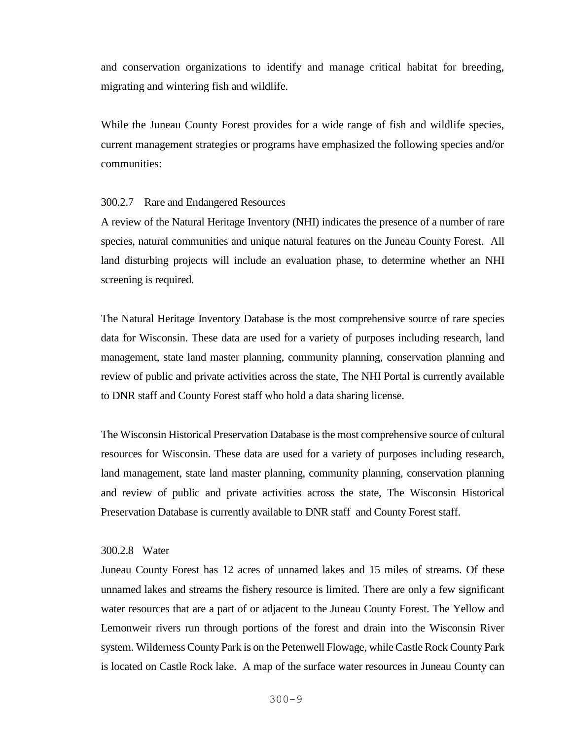and conservation organizations to identify and manage critical habitat for breeding, migrating and wintering fish and wildlife.

While the Juneau County Forest provides for a wide range of fish and wildlife species, current management strategies or programs have emphasized the following species and/or communities:

### 300.2.7 Rare and Endangered Resources

A review of the Natural Heritage Inventory (NHI) indicates the presence of a number of rare species, natural communities and unique natural features on the Juneau County Forest. All land disturbing projects will include an evaluation phase, to determine whether an NHI screening is required.

The Natural Heritage Inventory Database is the most comprehensive source of rare species data for Wisconsin. These data are used for a variety of purposes including research, land management, state land master planning, community planning, conservation planning and review of public and private activities across the state, The NHI Portal is currently available to DNR staff and County Forest staff who hold a data sharing license.

The Wisconsin Historical Preservation Database is the most comprehensive source of cultural resources for Wisconsin. These data are used for a variety of purposes including research, land management, state land master planning, community planning, conservation planning and review of public and private activities across the state, The Wisconsin Historical Preservation Database is currently available to DNR staff and County Forest staff.

#### 300.2.8 Water

Juneau County Forest has 12 acres of unnamed lakes and 15 miles of streams. Of these unnamed lakes and streams the fishery resource is limited. There are only a few significant water resources that are a part of or adjacent to the Juneau County Forest. The Yellow and Lemonweir rivers run through portions of the forest and drain into the Wisconsin River system. Wilderness County Park is on the Petenwell Flowage, while Castle Rock County Park is located on Castle Rock lake. A map of the surface water resources in Juneau County can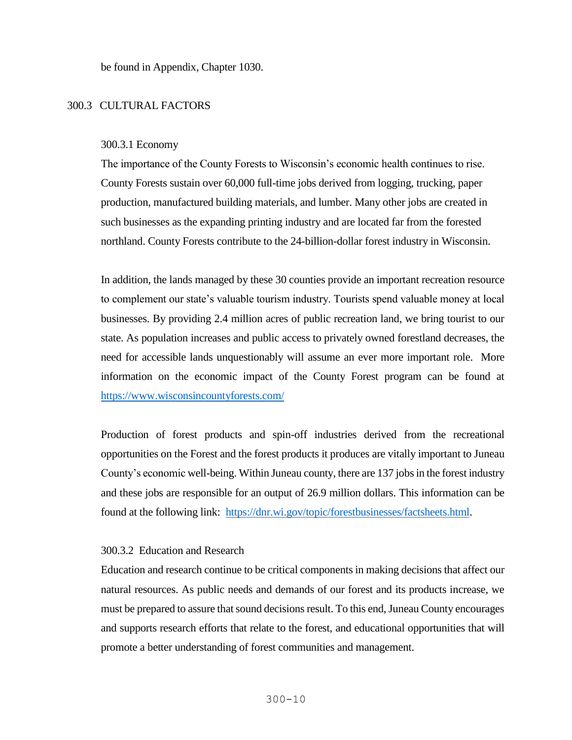be found in Appendix, Chapter 1030.

# 300.3 CULTURAL FACTORS

#### 300.3.1 Economy

The importance of the County Forests to Wisconsin's economic health continues to rise. County Forests sustain over 60,000 full-time jobs derived from logging, trucking, paper production, manufactured building materials, and lumber. Many other jobs are created in such businesses as the expanding printing industry and are located far from the forested northland. County Forests contribute to the 24-billion-dollar forest industry in Wisconsin.

In addition, the lands managed by these 30 counties provide an important recreation resource to complement our state's valuable tourism industry. Tourists spend valuable money at local businesses. By providing 2.4 million acres of public recreation land, we bring tourist to our state. As population increases and public access to privately owned forestland decreases, the need for accessible lands unquestionably will assume an ever more important role. More information on the economic impact of the County Forest program can be found at <https://www.wisconsincountyforests.com/>

Production of forest products and spin-off industries derived from the recreational opportunities on the Forest and the forest products it produces are vitally important to Juneau County's economic well-being. Within Juneau county, there are 137 jobs in the forest industry and these jobs are responsible for an output of 26.9 million dollars. This information can be found at the following link: [https://dnr.wi.gov/topic/forestbusinesses/factsheets.html.](https://dnr.wi.gov/topic/forestbusinesses/factsheets.html)

### 300.3.2 Education and Research

Education and research continue to be critical components in making decisions that affect our natural resources. As public needs and demands of our forest and its products increase, we must be prepared to assure that sound decisions result. To this end, Juneau County encourages and supports research efforts that relate to the forest, and educational opportunities that will promote a better understanding of forest communities and management.